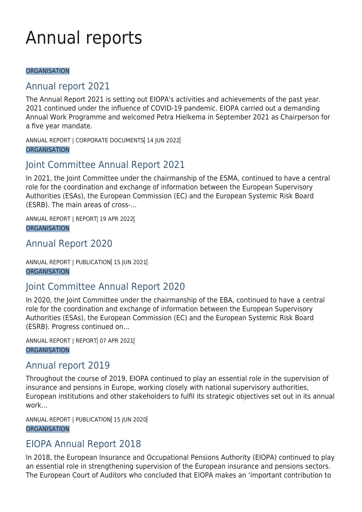# Annual reports

#### **ORGANISATION**

## [Annual report 2021](https://www.eiopa.europa.eu/document-library/annual-report/annual-report-2021)

The Annual Report 2021 is setting out EIOPA's activities and achievements of the past year. 2021 continued under the influence of COVID-19 pandemic. EIOPA carried out a demanding Annual Work Programme and welcomed Petra Hielkema in September 2021 as Chairperson for a five year mandate.

ANNUAL REPORT | CORPORATE DOCUMENTS 14 JUN 2022 **ORGANISATION** 

## [Joint Committee Annual Report 2021](https://www.eiopa.europa.eu/document-library/annual-report/joint-committee-annual-report-2021)

In 2021, the Joint Committee under the chairmanship of the ESMA, continued to have a central role for the coordination and exchange of information between the European Supervisory Authorities (ESAs), the European Commission (EC) and the European Systemic Risk Board (ESRB). The main areas of cross-...

ANNUAL REPORT | REPORT 19 APR 2022 **ORGANISATION** 

#### [Annual Report 2020](https://www.eiopa.europa.eu/document-library/annual-report/annual-report-2020)

ANNUAL REPORT | PUBLICATION 15 JUN 2021 **ORGANISATION** 

## [Joint Committee Annual Report 2020](https://www.eiopa.europa.eu/document-library/annual-report/joint-committee-annual-report-2020)

In 2020, the Joint Committee under the chairmanship of the EBA, continued to have a central role for the coordination and exchange of information between the European Supervisory Authorities (ESAs), the European Commission (EC) and the European Systemic Risk Board (ESRB). Progress continued on...

ANNUAL REPORT | REPORT 07 APR 2021 **ORGANISATION** 

#### [Annual report 2019](https://www.eiopa.europa.eu/document-library/annual-report/annual-report-2019)

Throughout the course of 2019, EIOPA continued to play an essential role in the supervision of insurance and pensions in Europe, working closely with national supervisory authorities, European institutions and other stakeholders to fulfil its strategic objectives set out in its annual work...

ANNUAL REPORT | PUBLICATION 15 JUN 2020 **ORGANISATION** 

## [EIOPA Annual Report 2018](https://www.eiopa.europa.eu/document-library/annual-report/eiopa-annual-report-2018)

In 2018, the European Insurance and Occupational Pensions Authority (EIOPA) continued to play an essential role in strengthening supervision of the European insurance and pensions sectors. The European Court of Auditors who concluded that EIOPA makes an 'important contribution to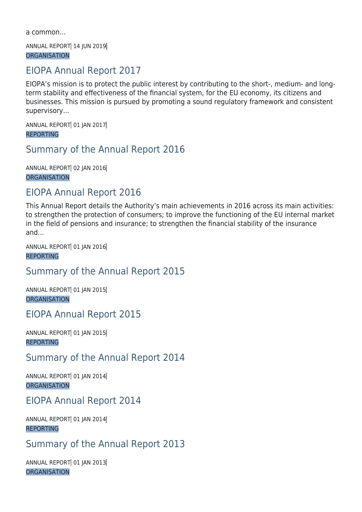a common...

ANNUAL REPORT 14 JUN 2019 **ORGANISATION** 

## [EIOPA Annual Report 2017](https://www.eiopa.europa.eu/document-library/annual-report/eiopa-annual-report-2017)

EIOPA's mission is to protect the public interest by contributing to the short-, medium- and longterm stability and effectiveness of the financial system, for the EU economy, its citizens and businesses. This mission is pursued by promoting a sound regulatory framework and consistent supervisory...

ANNUAL REPORT 01 JAN 2017 REPORTING

## [Summary of the Annual Report 2016](https://www.eiopa.europa.eu/document-library/annual-report/summary-of-annual-report-2016)

ANNUAL REPORT 02 JAN 2016 **ORGANISATION** 

## [EIOPA Annual Report 2016](https://www.eiopa.europa.eu/document-library/annual-report/eiopa-annual-report-2016)

This Annual Report details the Authority's main achievements in 2016 across its main activities: to strengthen the protection of consumers; to improve the functioning of the EU internal market in the field of pensions and insurance; to strengthen the financial stability of the insurance and...

ANNUAL REPORT 01 JAN 2016

REPORTING

#### [Summary of the Annual Report 2015](https://www.eiopa.europa.eu/document-library/annual-report/summary-of-annual-report-2015)

ANNUAL REPORT 01 IAN 2015 **ORGANISATION** 

[EIOPA Annual Report 2015](https://www.eiopa.europa.eu/document-library/annual-report/eiopa-annual-report-2015)

ANNUAL REPORT 01 JAN 2015 REPORTING

[Summary of the Annual Report 2014](https://www.eiopa.europa.eu/document-library/annual-report/summary-of-annual-report-2014)

ANNUAL REPORT 01 JAN 2014 **ORGANISATION** 

## [EIOPA Annual Report 2014](https://www.eiopa.europa.eu/document-library/annual-report/eiopa-annual-report-2014)

ANNUAL REPORT 01 JAN 2014 REPORTING

## [Summary of the Annual Report 2013](https://www.eiopa.europa.eu/document-library/annual-report/summary-of-annual-report-2013)

ANNUAL REPORT 01 JAN 2013 **ORGANISATION**